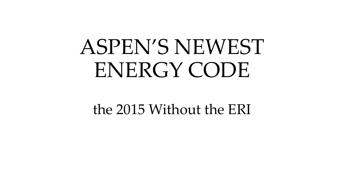#### ASPEN'S NEWEST ENERGY CODE

the 2015 Without the ERI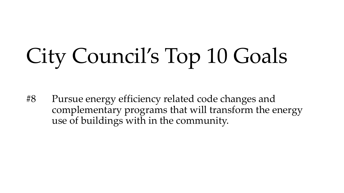### City Council's Top 10 Goals

#8 Pursue energy efficiency related code changes and complementary programs that will transform the energy use of buildings with in the community.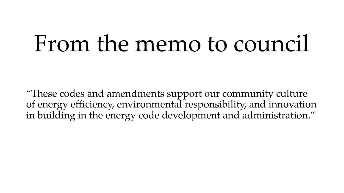#### From the memo to council

"These codes and amendments support our community culture of energy efficiency, environmental responsibility, and innovation in building in the energy code development and administration."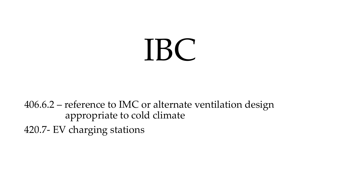## IBC

406.6.2 – reference to IMC or alternate ventilation design appropriate to cold climate 420.7- EV charging stations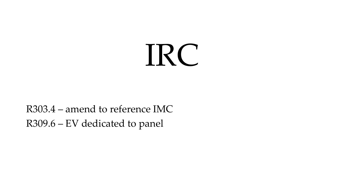### IRC

#### R303.4 – amend to reference IMC R309.6 – EV dedicated to panel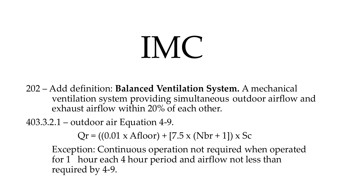# IMC

- 202 Add definition: **Balanced Ventilation System.** A mechanical ventilation system providing simultaneous outdoor airflow and exhaust airflow within 20% of each other.
- 403.3.2.1 outdoor air Equation 4-9.

 $Qr = ((0.01 \times \text{Afloor}) + [7.5 \times (\text{Nbr} + 1]) \times \text{Sc}$ 

Exception: Continuous operation not required when operated for 1 hour each 4 hour period and airflow not less than required by 4-9.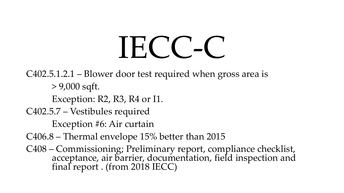# IECC-C

C402.5.1.2.1 – Blower door test required when gross area is

> 9,000 sqft.

Exception: R2, R3, R4 or I1.

C402.5.7 – Vestibules required

Exception #6: Air curtain

C406.8 – Thermal envelope 15% better than 2015

C408 – Commissioning; Preliminary report, compliance checklist, acceptance, air barrier, documentation, field inspection and final report . (from 2018 IECC)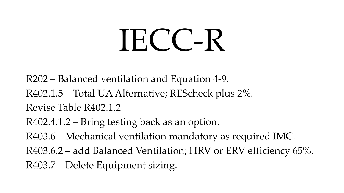# IECC-R

R202 – Balanced ventilation and Equation 4-9. R402.1.5 – Total UA Alternative; REScheck plus 2%. Revise Table R402.1.2 R402.4.1.2 – Bring testing back as an option. R403.6 – Mechanical ventilation mandatory as required IMC. R403.6.2 – add Balanced Ventilation; HRV or ERV efficiency 65%. R403.7 – Delete Equipment sizing.